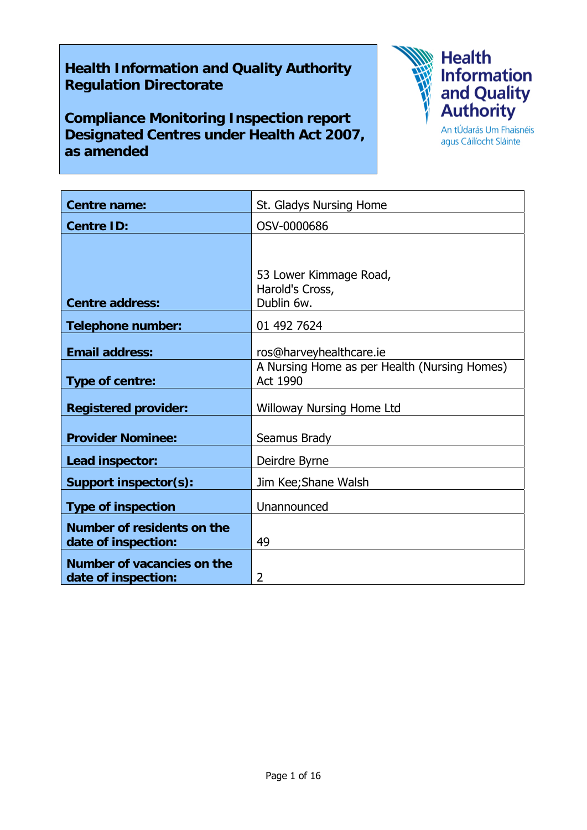# **Health Information and Quality Authority Regulation Directorate**

**Compliance Monitoring Inspection report Designated Centres under Health Act 2007, as amended** 



agus Cáilíocht Sláinte

| <b>Centre name:</b>                               | St. Gladys Nursing Home                                         |
|---------------------------------------------------|-----------------------------------------------------------------|
| <b>Centre ID:</b>                                 | OSV-0000686                                                     |
|                                                   |                                                                 |
| <b>Centre address:</b>                            | 53 Lower Kimmage Road,<br>Harold's Cross,<br>Dublin 6w.         |
| <b>Telephone number:</b>                          | 01 492 7624                                                     |
| <b>Email address:</b>                             | ros@harveyhealthcare.ie                                         |
| Type of centre:                                   | A Nursing Home as per Health (Nursing Homes)<br><b>Act 1990</b> |
| <b>Registered provider:</b>                       | <b>Willoway Nursing Home Ltd</b>                                |
| <b>Provider Nominee:</b>                          | Seamus Brady                                                    |
| Lead inspector:                                   | Deirdre Byrne                                                   |
| <b>Support inspector(s):</b>                      | Jim Kee; Shane Walsh                                            |
| <b>Type of inspection</b>                         | Unannounced                                                     |
| Number of residents on the<br>date of inspection: | 49                                                              |
| Number of vacancies on the<br>date of inspection: | 2                                                               |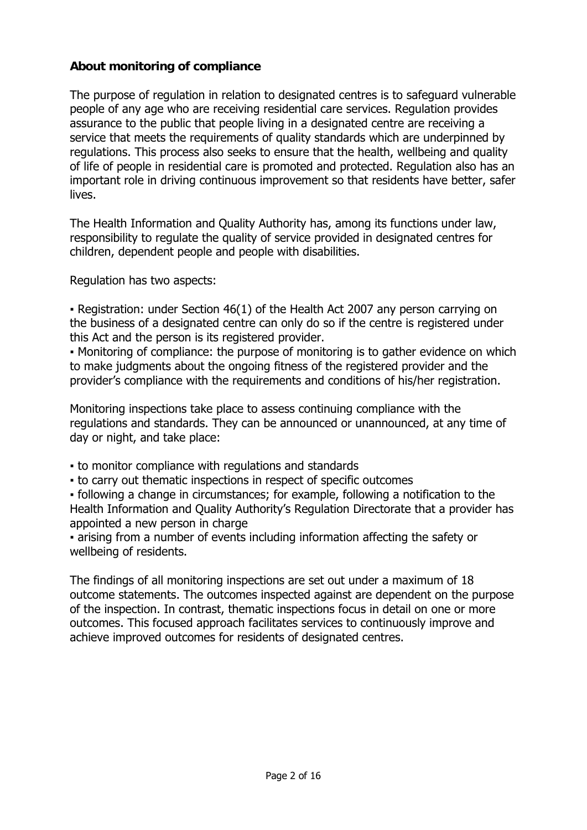# **About monitoring of compliance**

The purpose of regulation in relation to designated centres is to safeguard vulnerable people of any age who are receiving residential care services. Regulation provides assurance to the public that people living in a designated centre are receiving a service that meets the requirements of quality standards which are underpinned by regulations. This process also seeks to ensure that the health, wellbeing and quality of life of people in residential care is promoted and protected. Regulation also has an important role in driving continuous improvement so that residents have better, safer lives.

The Health Information and Quality Authority has, among its functions under law, responsibility to regulate the quality of service provided in designated centres for children, dependent people and people with disabilities.

Regulation has two aspects:

▪ Registration: under Section 46(1) of the Health Act 2007 any person carrying on the business of a designated centre can only do so if the centre is registered under this Act and the person is its registered provider.

• Monitoring of compliance: the purpose of monitoring is to gather evidence on which to make judgments about the ongoing fitness of the registered provider and the provider's compliance with the requirements and conditions of his/her registration.

Monitoring inspections take place to assess continuing compliance with the regulations and standards. They can be announced or unannounced, at any time of day or night, and take place:

- to monitor compliance with regulations and standards
- to carry out thematic inspections in respect of specific outcomes

▪ following a change in circumstances; for example, following a notification to the Health Information and Quality Authority's Regulation Directorate that a provider has appointed a new person in charge

▪ arising from a number of events including information affecting the safety or wellbeing of residents.

The findings of all monitoring inspections are set out under a maximum of 18 outcome statements. The outcomes inspected against are dependent on the purpose of the inspection. In contrast, thematic inspections focus in detail on one or more outcomes. This focused approach facilitates services to continuously improve and achieve improved outcomes for residents of designated centres.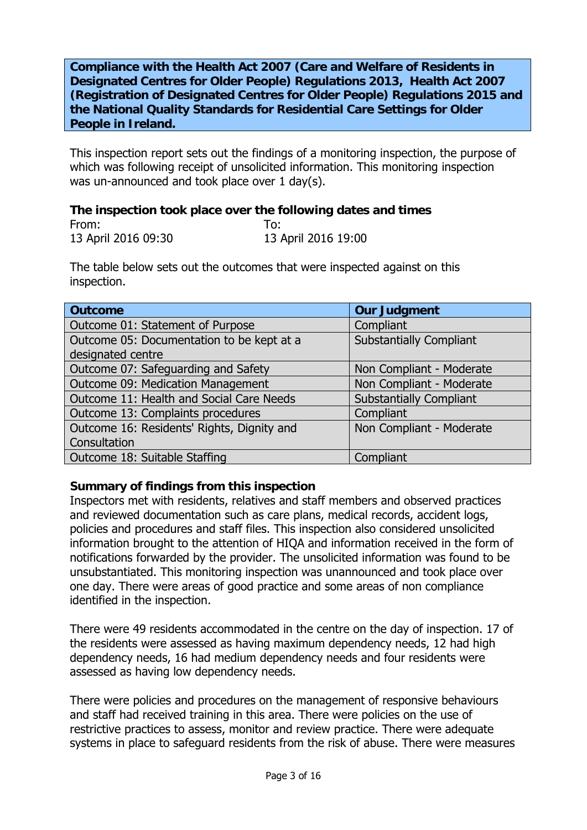**Compliance with the Health Act 2007 (Care and Welfare of Residents in Designated Centres for Older People) Regulations 2013, Health Act 2007 (Registration of Designated Centres for Older People) Regulations 2015 and the National Quality Standards for Residential Care Settings for Older People in Ireland.**

This inspection report sets out the findings of a monitoring inspection, the purpose of which was following receipt of unsolicited information. This monitoring inspection was un-announced and took place over 1 day(s).

# **The inspection took place over the following dates and times**

| From:               | To:                 |
|---------------------|---------------------|
| 13 April 2016 09:30 | 13 April 2016 19:00 |

The table below sets out the outcomes that were inspected against on this inspection.

| <b>Outcome</b>                             | <b>Our Judgment</b>            |
|--------------------------------------------|--------------------------------|
| Outcome 01: Statement of Purpose           | Compliant                      |
| Outcome 05: Documentation to be kept at a  | <b>Substantially Compliant</b> |
| designated centre                          |                                |
| Outcome 07: Safeguarding and Safety        | Non Compliant - Moderate       |
| Outcome 09: Medication Management          | Non Compliant - Moderate       |
| Outcome 11: Health and Social Care Needs   | <b>Substantially Compliant</b> |
| Outcome 13: Complaints procedures          | Compliant                      |
| Outcome 16: Residents' Rights, Dignity and | Non Compliant - Moderate       |
| Consultation                               |                                |
| Outcome 18: Suitable Staffing              | Compliant                      |

### **Summary of findings from this inspection**

Inspectors met with residents, relatives and staff members and observed practices and reviewed documentation such as care plans, medical records, accident logs, policies and procedures and staff files. This inspection also considered unsolicited information brought to the attention of HIQA and information received in the form of notifications forwarded by the provider. The unsolicited information was found to be unsubstantiated. This monitoring inspection was unannounced and took place over one day. There were areas of good practice and some areas of non compliance identified in the inspection.

There were 49 residents accommodated in the centre on the day of inspection. 17 of the residents were assessed as having maximum dependency needs, 12 had high dependency needs, 16 had medium dependency needs and four residents were assessed as having low dependency needs.

There were policies and procedures on the management of responsive behaviours and staff had received training in this area. There were policies on the use of restrictive practices to assess, monitor and review practice. There were adequate systems in place to safeguard residents from the risk of abuse. There were measures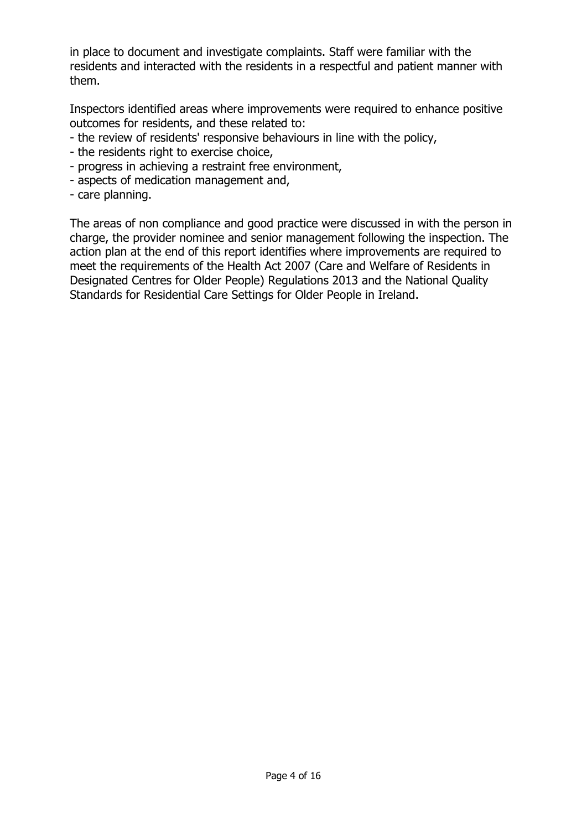in place to document and investigate complaints. Staff were familiar with the residents and interacted with the residents in a respectful and patient manner with them.

Inspectors identified areas where improvements were required to enhance positive outcomes for residents, and these related to:

- the review of residents' responsive behaviours in line with the policy,
- the residents right to exercise choice,
- progress in achieving a restraint free environment,
- aspects of medication management and,
- care planning.

The areas of non compliance and good practice were discussed in with the person in charge, the provider nominee and senior management following the inspection. The action plan at the end of this report identifies where improvements are required to meet the requirements of the Health Act 2007 (Care and Welfare of Residents in Designated Centres for Older People) Regulations 2013 and the National Quality Standards for Residential Care Settings for Older People in Ireland.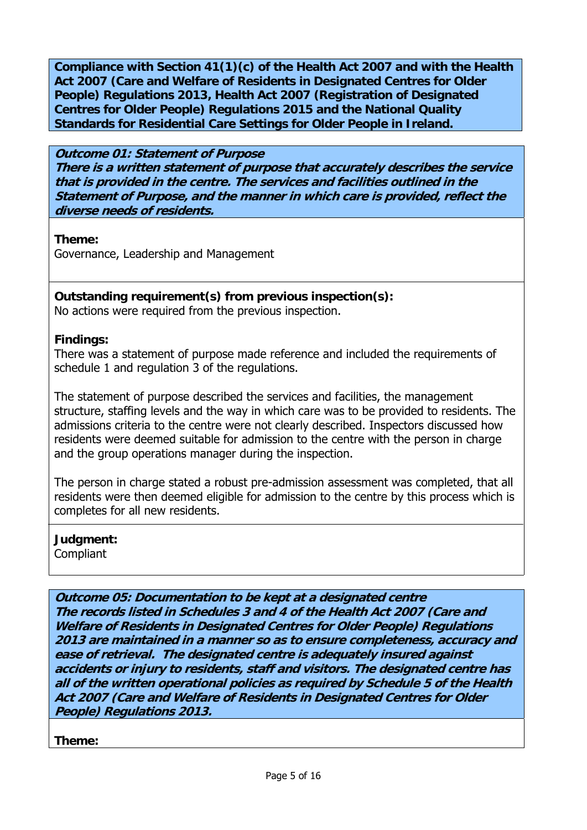**Compliance with Section 41(1)(c) of the Health Act 2007 and with the Health Act 2007 (Care and Welfare of Residents in Designated Centres for Older People) Regulations 2013, Health Act 2007 (Registration of Designated Centres for Older People) Regulations 2015 and the National Quality Standards for Residential Care Settings for Older People in Ireland.** 

**Outcome 01: Statement of Purpose There is a written statement of purpose that accurately describes the service that is provided in the centre. The services and facilities outlined in the Statement of Purpose, and the manner in which care is provided, reflect the diverse needs of residents.**

**Theme:** 

Governance, Leadership and Management

**Outstanding requirement(s) from previous inspection(s):** 

No actions were required from the previous inspection.

### **Findings:**

There was a statement of purpose made reference and included the requirements of schedule 1 and regulation 3 of the regulations.

The statement of purpose described the services and facilities, the management structure, staffing levels and the way in which care was to be provided to residents. The admissions criteria to the centre were not clearly described. Inspectors discussed how residents were deemed suitable for admission to the centre with the person in charge and the group operations manager during the inspection.

The person in charge stated a robust pre-admission assessment was completed, that all residents were then deemed eligible for admission to the centre by this process which is completes for all new residents.

**Judgment: Compliant** 

**Outcome 05: Documentation to be kept at a designated centre The records listed in Schedules 3 and 4 of the Health Act 2007 (Care and Welfare of Residents in Designated Centres for Older People) Regulations 2013 are maintained in a manner so as to ensure completeness, accuracy and ease of retrieval. The designated centre is adequately insured against accidents or injury to residents, staff and visitors. The designated centre has all of the written operational policies as required by Schedule 5 of the Health Act 2007 (Care and Welfare of Residents in Designated Centres for Older People) Regulations 2013.**

**Theme:**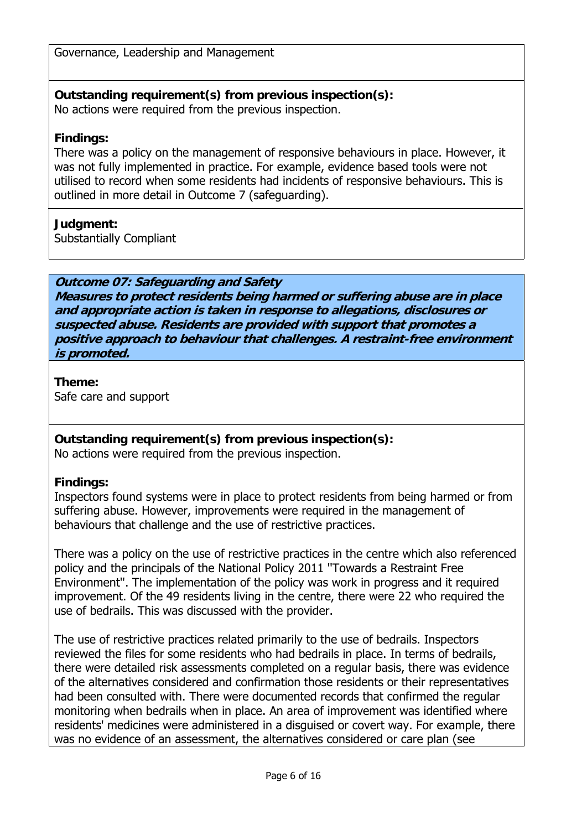Governance, Leadership and Management

#### **Outstanding requirement(s) from previous inspection(s):**  No actions were required from the previous inspection.

### **Findings:**

There was a policy on the management of responsive behaviours in place. However, it was not fully implemented in practice. For example, evidence based tools were not utilised to record when some residents had incidents of responsive behaviours. This is outlined in more detail in Outcome 7 (safeguarding).

### **Judgment:**

Substantially Compliant

### **Outcome 07: Safeguarding and Safety**

**Measures to protect residents being harmed or suffering abuse are in place and appropriate action is taken in response to allegations, disclosures or suspected abuse. Residents are provided with support that promotes a positive approach to behaviour that challenges. A restraint-free environment is promoted.**

**Theme:**  Safe care and support

### **Outstanding requirement(s) from previous inspection(s):**

No actions were required from the previous inspection.

# **Findings:**

Inspectors found systems were in place to protect residents from being harmed or from suffering abuse. However, improvements were required in the management of behaviours that challenge and the use of restrictive practices.

There was a policy on the use of restrictive practices in the centre which also referenced policy and the principals of the National Policy 2011 ''Towards a Restraint Free Environment''. The implementation of the policy was work in progress and it required improvement. Of the 49 residents living in the centre, there were 22 who required the use of bedrails. This was discussed with the provider.

The use of restrictive practices related primarily to the use of bedrails. Inspectors reviewed the files for some residents who had bedrails in place. In terms of bedrails, there were detailed risk assessments completed on a regular basis, there was evidence of the alternatives considered and confirmation those residents or their representatives had been consulted with. There were documented records that confirmed the regular monitoring when bedrails when in place. An area of improvement was identified where residents' medicines were administered in a disguised or covert way. For example, there was no evidence of an assessment, the alternatives considered or care plan (see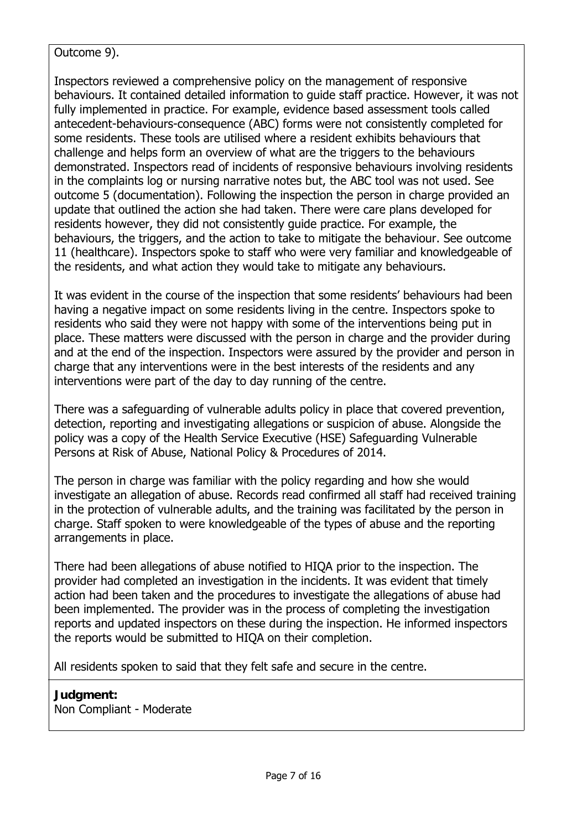### Outcome 9).

Inspectors reviewed a comprehensive policy on the management of responsive behaviours. It contained detailed information to guide staff practice. However, it was not fully implemented in practice. For example, evidence based assessment tools called antecedent-behaviours-consequence (ABC) forms were not consistently completed for some residents. These tools are utilised where a resident exhibits behaviours that challenge and helps form an overview of what are the triggers to the behaviours demonstrated. Inspectors read of incidents of responsive behaviours involving residents in the complaints log or nursing narrative notes but, the ABC tool was not used. See outcome 5 (documentation). Following the inspection the person in charge provided an update that outlined the action she had taken. There were care plans developed for residents however, they did not consistently guide practice. For example, the behaviours, the triggers, and the action to take to mitigate the behaviour. See outcome 11 (healthcare). Inspectors spoke to staff who were very familiar and knowledgeable of the residents, and what action they would take to mitigate any behaviours.

It was evident in the course of the inspection that some residents' behaviours had been having a negative impact on some residents living in the centre. Inspectors spoke to residents who said they were not happy with some of the interventions being put in place. These matters were discussed with the person in charge and the provider during and at the end of the inspection. Inspectors were assured by the provider and person in charge that any interventions were in the best interests of the residents and any interventions were part of the day to day running of the centre.

There was a safeguarding of vulnerable adults policy in place that covered prevention, detection, reporting and investigating allegations or suspicion of abuse. Alongside the policy was a copy of the Health Service Executive (HSE) Safeguarding Vulnerable Persons at Risk of Abuse, National Policy & Procedures of 2014.

The person in charge was familiar with the policy regarding and how she would investigate an allegation of abuse. Records read confirmed all staff had received training in the protection of vulnerable adults, and the training was facilitated by the person in charge. Staff spoken to were knowledgeable of the types of abuse and the reporting arrangements in place.

There had been allegations of abuse notified to HIQA prior to the inspection. The provider had completed an investigation in the incidents. It was evident that timely action had been taken and the procedures to investigate the allegations of abuse had been implemented. The provider was in the process of completing the investigation reports and updated inspectors on these during the inspection. He informed inspectors the reports would be submitted to HIQA on their completion.

All residents spoken to said that they felt safe and secure in the centre.

# **Judgment:**

Non Compliant - Moderate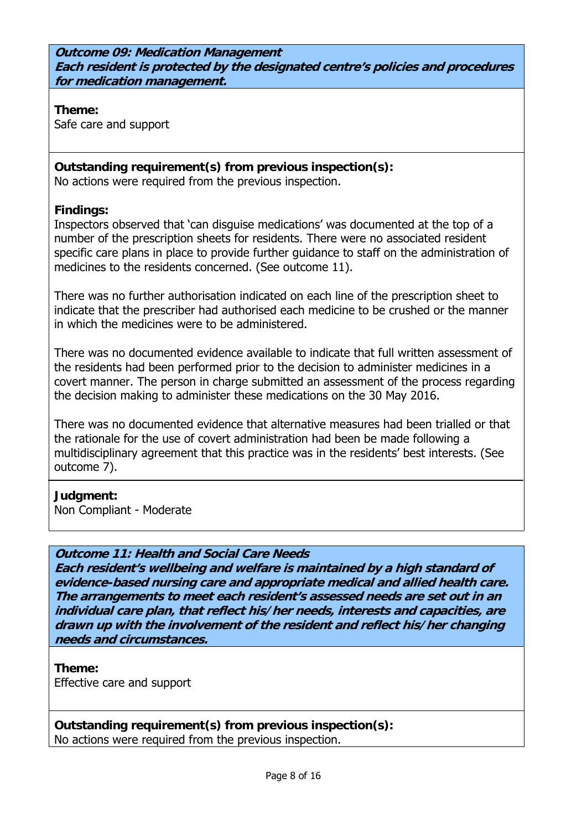**Outcome 09: Medication Management Each resident is protected by the designated centre's policies and procedures for medication management.**

**Theme:** 

Safe care and support

# **Outstanding requirement(s) from previous inspection(s):**

No actions were required from the previous inspection.

# **Findings:**

Inspectors observed that 'can disguise medications' was documented at the top of a number of the prescription sheets for residents. There were no associated resident specific care plans in place to provide further guidance to staff on the administration of medicines to the residents concerned. (See outcome 11).

There was no further authorisation indicated on each line of the prescription sheet to indicate that the prescriber had authorised each medicine to be crushed or the manner in which the medicines were to be administered.

There was no documented evidence available to indicate that full written assessment of the residents had been performed prior to the decision to administer medicines in a covert manner. The person in charge submitted an assessment of the process regarding the decision making to administer these medications on the 30 May 2016.

There was no documented evidence that alternative measures had been trialled or that the rationale for the use of covert administration had been be made following a multidisciplinary agreement that this practice was in the residents' best interests. (See outcome 7).

# **Judgment:**

Non Compliant - Moderate

# **Outcome 11: Health and Social Care Needs**

**Each resident's wellbeing and welfare is maintained by a high standard of evidence-based nursing care and appropriate medical and allied health care. The arrangements to meet each resident's assessed needs are set out in an individual care plan, that reflect his/her needs, interests and capacities, are drawn up with the involvement of the resident and reflect his/her changing needs and circumstances.**

**Theme:**  Effective care and support

**Outstanding requirement(s) from previous inspection(s):**  No actions were required from the previous inspection.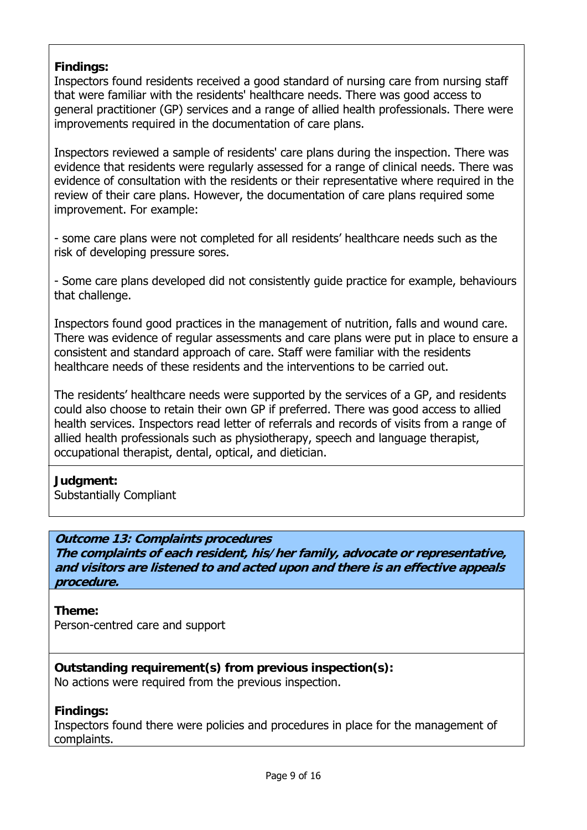### **Findings:**

Inspectors found residents received a good standard of nursing care from nursing staff that were familiar with the residents' healthcare needs. There was good access to general practitioner (GP) services and a range of allied health professionals. There were improvements required in the documentation of care plans.

Inspectors reviewed a sample of residents' care plans during the inspection. There was evidence that residents were regularly assessed for a range of clinical needs. There was evidence of consultation with the residents or their representative where required in the review of their care plans. However, the documentation of care plans required some improvement. For example:

- some care plans were not completed for all residents' healthcare needs such as the risk of developing pressure sores.

- Some care plans developed did not consistently guide practice for example, behaviours that challenge.

Inspectors found good practices in the management of nutrition, falls and wound care. There was evidence of regular assessments and care plans were put in place to ensure a consistent and standard approach of care. Staff were familiar with the residents healthcare needs of these residents and the interventions to be carried out.

The residents' healthcare needs were supported by the services of a GP, and residents could also choose to retain their own GP if preferred. There was good access to allied health services. Inspectors read letter of referrals and records of visits from a range of allied health professionals such as physiotherapy, speech and language therapist, occupational therapist, dental, optical, and dietician.

### **Judgment:**

Substantially Compliant

### **Outcome 13: Complaints procedures**

**The complaints of each resident, his/her family, advocate or representative, and visitors are listened to and acted upon and there is an effective appeals procedure.**

### **Theme:**

Person-centred care and support

### **Outstanding requirement(s) from previous inspection(s):**

No actions were required from the previous inspection.

### **Findings:**

Inspectors found there were policies and procedures in place for the management of complaints.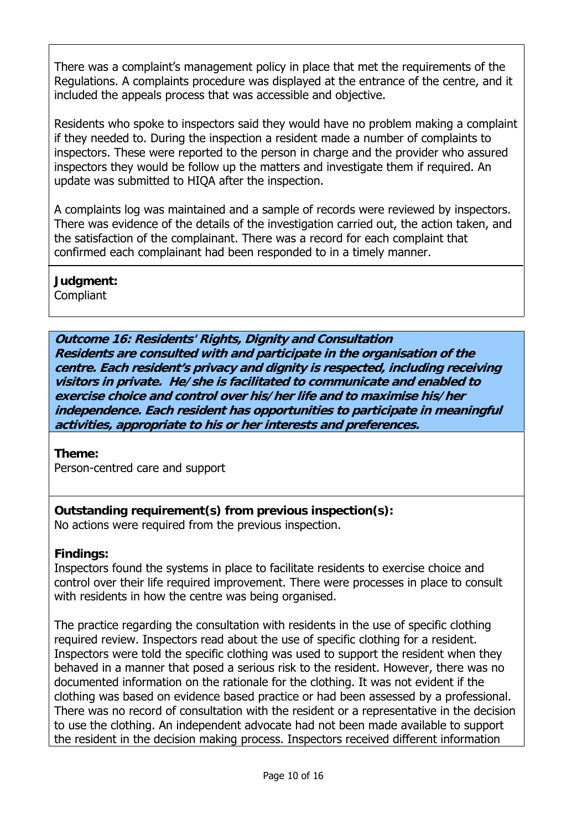There was a complaint's management policy in place that met the requirements of the Regulations. A complaints procedure was displayed at the entrance of the centre, and it included the appeals process that was accessible and objective.

Residents who spoke to inspectors said they would have no problem making a complaint if they needed to. During the inspection a resident made a number of complaints to inspectors. These were reported to the person in charge and the provider who assured inspectors they would be follow up the matters and investigate them if required. An update was submitted to HIQA after the inspection.

A complaints log was maintained and a sample of records were reviewed by inspectors. There was evidence of the details of the investigation carried out, the action taken, and the satisfaction of the complainant. There was a record for each complaint that confirmed each complainant had been responded to in a timely manner.

**Judgment:** 

**Compliant** 

# **Outcome 16: Residents' Rights, Dignity and Consultation**

**Residents are consulted with and participate in the organisation of the centre. Each resident's privacy and dignity is respected, including receiving visitors in private. He/she is facilitated to communicate and enabled to exercise choice and control over his/her life and to maximise his/her independence. Each resident has opportunities to participate in meaningful activities, appropriate to his or her interests and preferences.**

**Theme:** 

Person-centred care and support

**Outstanding requirement(s) from previous inspection(s):**  No actions were required from the previous inspection.

# **Findings:**

Inspectors found the systems in place to facilitate residents to exercise choice and control over their life required improvement. There were processes in place to consult with residents in how the centre was being organised.

The practice regarding the consultation with residents in the use of specific clothing required review. Inspectors read about the use of specific clothing for a resident. Inspectors were told the specific clothing was used to support the resident when they behaved in a manner that posed a serious risk to the resident. However, there was no documented information on the rationale for the clothing. It was not evident if the clothing was based on evidence based practice or had been assessed by a professional. There was no record of consultation with the resident or a representative in the decision to use the clothing. An independent advocate had not been made available to support the resident in the decision making process. Inspectors received different information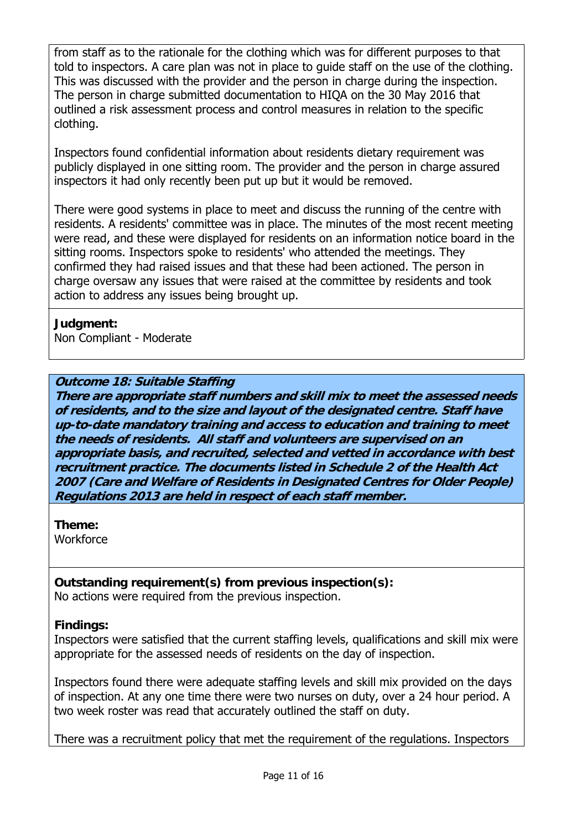from staff as to the rationale for the clothing which was for different purposes to that told to inspectors. A care plan was not in place to guide staff on the use of the clothing. This was discussed with the provider and the person in charge during the inspection. The person in charge submitted documentation to HIQA on the 30 May 2016 that outlined a risk assessment process and control measures in relation to the specific clothing.

Inspectors found confidential information about residents dietary requirement was publicly displayed in one sitting room. The provider and the person in charge assured inspectors it had only recently been put up but it would be removed.

There were good systems in place to meet and discuss the running of the centre with residents. A residents' committee was in place. The minutes of the most recent meeting were read, and these were displayed for residents on an information notice board in the sitting rooms. Inspectors spoke to residents' who attended the meetings. They confirmed they had raised issues and that these had been actioned. The person in charge oversaw any issues that were raised at the committee by residents and took action to address any issues being brought up.

**Judgment:**  Non Compliant - Moderate

# **Outcome 18: Suitable Staffing**

**There are appropriate staff numbers and skill mix to meet the assessed needs of residents, and to the size and layout of the designated centre. Staff have up-to-date mandatory training and access to education and training to meet the needs of residents. All staff and volunteers are supervised on an appropriate basis, and recruited, selected and vetted in accordance with best recruitment practice. The documents listed in Schedule 2 of the Health Act 2007 (Care and Welfare of Residents in Designated Centres for Older People) Regulations 2013 are held in respect of each staff member.**

**Theme:** 

**Workforce** 

**Outstanding requirement(s) from previous inspection(s):**  No actions were required from the previous inspection.

### **Findings:**

Inspectors were satisfied that the current staffing levels, qualifications and skill mix were appropriate for the assessed needs of residents on the day of inspection.

Inspectors found there were adequate staffing levels and skill mix provided on the days of inspection. At any one time there were two nurses on duty, over a 24 hour period. A two week roster was read that accurately outlined the staff on duty.

There was a recruitment policy that met the requirement of the regulations. Inspectors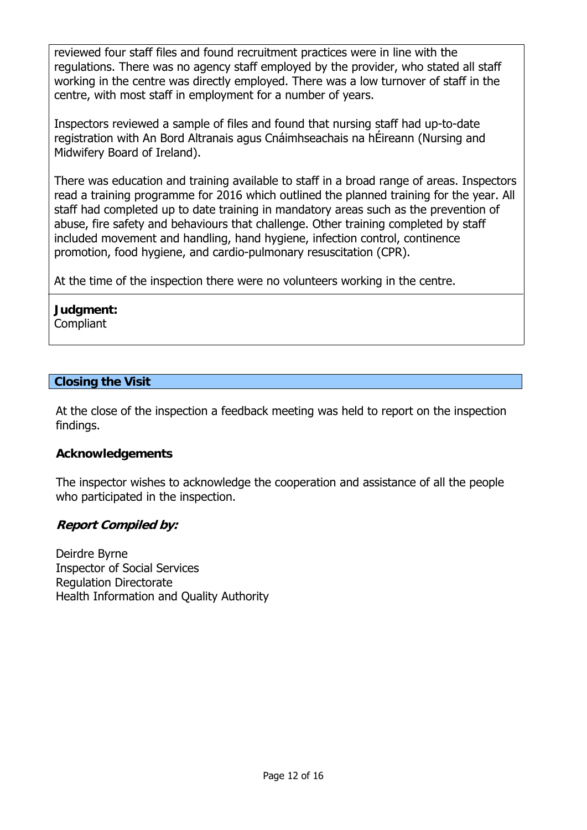reviewed four staff files and found recruitment practices were in line with the regulations. There was no agency staff employed by the provider, who stated all staff working in the centre was directly employed. There was a low turnover of staff in the centre, with most staff in employment for a number of years.

Inspectors reviewed a sample of files and found that nursing staff had up-to-date registration with An Bord Altranais agus Cnáimhseachais na hÉireann (Nursing and Midwifery Board of Ireland).

There was education and training available to staff in a broad range of areas. Inspectors read a training programme for 2016 which outlined the planned training for the year. All staff had completed up to date training in mandatory areas such as the prevention of abuse, fire safety and behaviours that challenge. Other training completed by staff included movement and handling, hand hygiene, infection control, continence promotion, food hygiene, and cardio-pulmonary resuscitation (CPR).

At the time of the inspection there were no volunteers working in the centre.

### **Judgment: Compliant**

# **Closing the Visit**

At the close of the inspection a feedback meeting was held to report on the inspection findings.

### **Acknowledgements**

The inspector wishes to acknowledge the cooperation and assistance of all the people who participated in the inspection.

### **Report Compiled by:**

Deirdre Byrne Inspector of Social Services Regulation Directorate Health Information and Quality Authority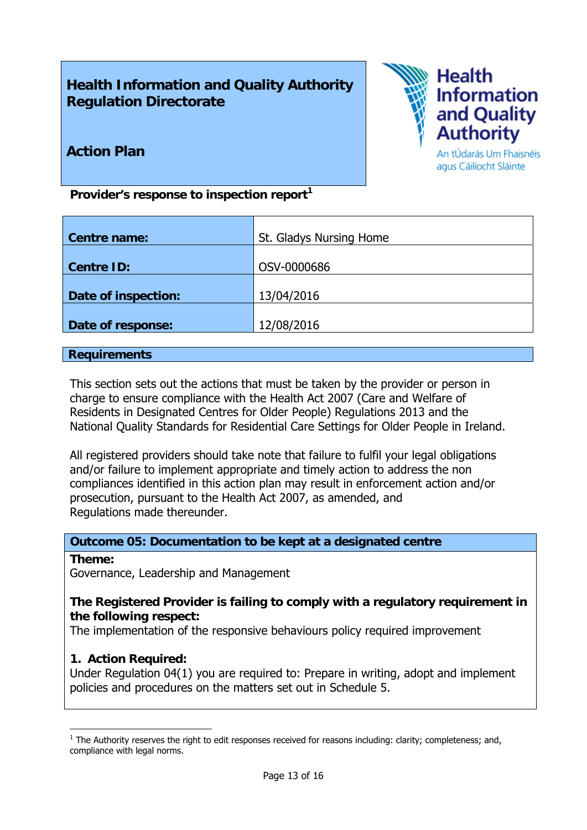# **Health Information and Quality Authority Regulation Directorate**



# **Action Plan**

An tÚdarás Um Fhaisnéis agus Cáilíocht Sláinte

Provider's response to inspection report<sup>1</sup>

| <b>Centre name:</b> | St. Gladys Nursing Home |
|---------------------|-------------------------|
|                     |                         |
| <b>Centre ID:</b>   | OSV-0000686             |
|                     |                         |
| Date of inspection: | 13/04/2016              |
|                     |                         |
| Date of response:   | 12/08/2016              |

### **Requirements**

This section sets out the actions that must be taken by the provider or person in charge to ensure compliance with the Health Act 2007 (Care and Welfare of Residents in Designated Centres for Older People) Regulations 2013 and the National Quality Standards for Residential Care Settings for Older People in Ireland.

All registered providers should take note that failure to fulfil your legal obligations and/or failure to implement appropriate and timely action to address the non compliances identified in this action plan may result in enforcement action and/or prosecution, pursuant to the Health Act 2007, as amended, and Regulations made thereunder.

### **Outcome 05: Documentation to be kept at a designated centre**

### **Theme:**

1

Governance, Leadership and Management

### **The Registered Provider is failing to comply with a regulatory requirement in the following respect:**

The implementation of the responsive behaviours policy required improvement

### **1. Action Required:**

Under Regulation 04(1) you are required to: Prepare in writing, adopt and implement policies and procedures on the matters set out in Schedule 5.

 $<sup>1</sup>$  The Authority reserves the right to edit responses received for reasons including: clarity; completeness; and,</sup> compliance with legal norms.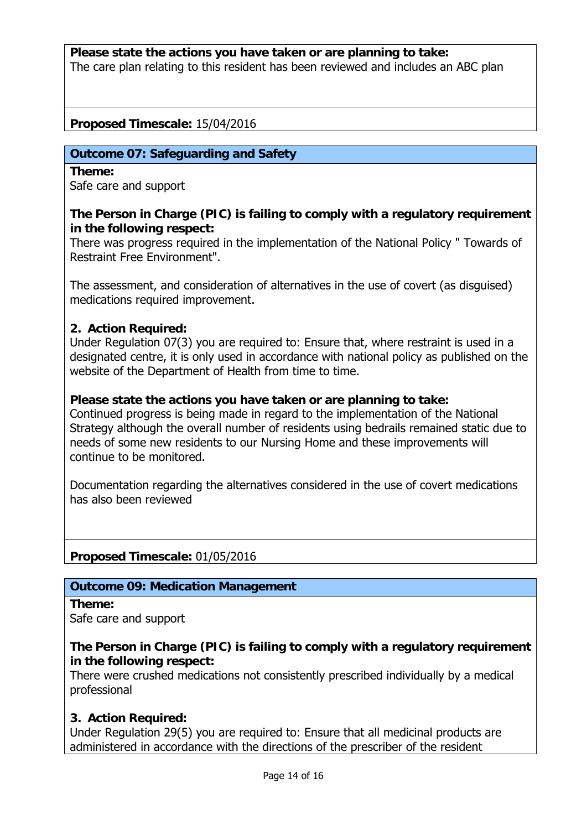**Please state the actions you have taken or are planning to take:**  The care plan relating to this resident has been reviewed and includes an ABC plan

### **Proposed Timescale:** 15/04/2016

### **Outcome 07: Safeguarding and Safety**

**Theme:**  Safe care and support

### **The Person in Charge (PIC) is failing to comply with a regulatory requirement in the following respect:**

There was progress required in the implementation of the National Policy " Towards of Restraint Free Environment".

The assessment, and consideration of alternatives in the use of covert (as disguised) medications required improvement.

### **2. Action Required:**

Under Regulation 07(3) you are required to: Ensure that, where restraint is used in a designated centre, it is only used in accordance with national policy as published on the website of the Department of Health from time to time.

### **Please state the actions you have taken or are planning to take:**

Continued progress is being made in regard to the implementation of the National Strategy although the overall number of residents using bedrails remained static due to needs of some new residents to our Nursing Home and these improvements will continue to be monitored.

Documentation regarding the alternatives considered in the use of covert medications has also been reviewed

### **Proposed Timescale:** 01/05/2016

### **Outcome 09: Medication Management**

**Theme:**  Safe care and support

### **The Person in Charge (PIC) is failing to comply with a regulatory requirement in the following respect:**

There were crushed medications not consistently prescribed individually by a medical professional

### **3. Action Required:**

Under Regulation 29(5) you are required to: Ensure that all medicinal products are administered in accordance with the directions of the prescriber of the resident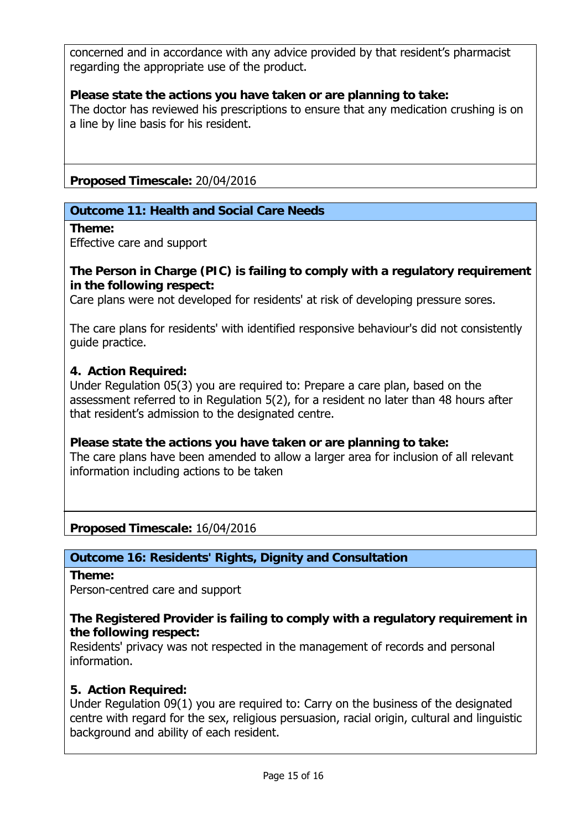concerned and in accordance with any advice provided by that resident's pharmacist regarding the appropriate use of the product.

### **Please state the actions you have taken or are planning to take:**

The doctor has reviewed his prescriptions to ensure that any medication crushing is on a line by line basis for his resident.

**Proposed Timescale:** 20/04/2016

### **Outcome 11: Health and Social Care Needs**

**Theme:** 

Effective care and support

**The Person in Charge (PIC) is failing to comply with a regulatory requirement in the following respect:**

Care plans were not developed for residents' at risk of developing pressure sores.

The care plans for residents' with identified responsive behaviour's did not consistently guide practice.

### **4. Action Required:**

Under Regulation 05(3) you are required to: Prepare a care plan, based on the assessment referred to in Regulation 5(2), for a resident no later than 48 hours after that resident's admission to the designated centre.

### **Please state the actions you have taken or are planning to take:**

The care plans have been amended to allow a larger area for inclusion of all relevant information including actions to be taken

**Proposed Timescale:** 16/04/2016

# **Outcome 16: Residents' Rights, Dignity and Consultation**

**Theme:** 

Person-centred care and support

### **The Registered Provider is failing to comply with a regulatory requirement in the following respect:**

Residents' privacy was not respected in the management of records and personal information.

### **5. Action Required:**

Under Regulation 09(1) you are required to: Carry on the business of the designated centre with regard for the sex, religious persuasion, racial origin, cultural and linguistic background and ability of each resident.